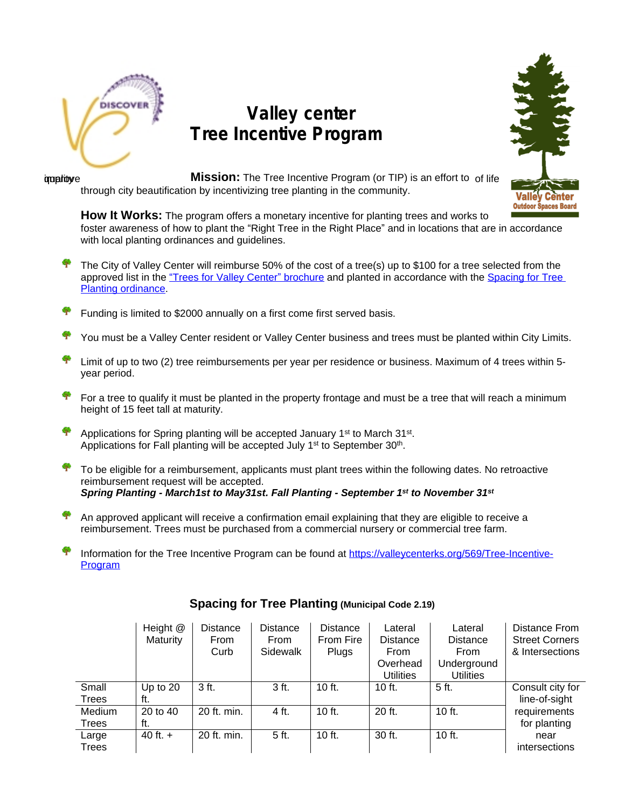

## **Valley center Tree Incentive Program**



improve **Mission:** The Tree Incentive Program (or TIP) is an effort to of life through city beautification by incentivizing tree planting in the community.

**How It Works:** The program offers a monetary incentive for planting trees and works to foster awareness of how to plant the "Right Tree in the Right Place" and in locations that are in accordance with local planting ordinances and guidelines.

- 辛 The City of Valley Center will reimburse 50% of the cost of a tree(s) up to \$100 for a tree selected from the approved list in the ["](https://valleycenterks.org/136/Trees-For-Valley-Center)[Trees for Valley Center](https://valleycenterks.org/136/Trees-For-Valley-Center)" [brochure and planted in accordance with](https://valleycenterks.org/136/Trees-For-Valley-Center) [the](https://valleycenterks.org/136/Trees-For-Valley-Center) Spacing for Tree [Planting ordinance](https://valleycenterks.org/577/Tree-Spacing-Planting---Municipal-Code-2).
- Funding is limited to \$2000 annually on a first come first served basis.
- You must be a Valley Center resident or Valley Center business and trees must be planted within City Limits.
- Limit of up to two (2) tree reimbursements per year per residence or business. Maximum of 4 trees within 5 year period.
- For a tree to qualify it must be planted in the property frontage and must be a tree that will reach a minimum height of 15 feet tall at maturity.
- Applications for Spring planting will be accepted January 1<sup>st</sup> to March 31<sup>st</sup>. Applications for Fall planting will be accepted July 1<sup>st</sup> to September 30<sup>th</sup>.
- To be eligible for a reimbursement, applicants must plant trees within the following dates. No retroactive reimbursement request will be accepted. *Spring Planting - March1st to May31st. Fall Planting - September 1 st to November 31st*
- An approved applicant will receive a confirmation email explaining that they are eligible to receive a reimbursement. Trees must be purchased from a commercial nursery or commercial tree farm.
- Information for the Tree Incentive Program can be found at [https://valleycenterks.org/569/Tree-Incentive-](https://valleycenterks.org/569/Tree-Incentive-Program)Program

|        | Height @   | Distance    | <b>Distance</b> | <b>Distance</b> | Lateral          | Lateral          | Distance From         |
|--------|------------|-------------|-----------------|-----------------|------------------|------------------|-----------------------|
|        | Maturity   | <b>From</b> | <b>From</b>     | From Fire       | <b>Distance</b>  | <b>Distance</b>  | <b>Street Corners</b> |
|        |            | Curb        | Sidewalk        | Plugs           | <b>From</b>      | <b>From</b>      | & Intersections       |
|        |            |             |                 |                 | Overhead         | Underground      |                       |
|        |            |             |                 |                 | <b>Utilities</b> | <b>Utilities</b> |                       |
| Small  | Up to $20$ | 3 ft.       | 3 ft.           | $10$ ft.        | $10$ ft.         | 5 ft.            | Consult city for      |
| Trees  | ft.        |             |                 |                 |                  |                  | line-of-sight         |
| Medium | 20 to 40   | 20 ft. min. | 4 ft.           | $10$ ft.        | 20 ft.           | $10$ ft.         | requirements          |
| Trees  | ft.        |             |                 |                 |                  |                  | for planting          |
| Large  | 40 ft. $+$ | 20 ft. min. | 5 ft.           | $10$ ft.        | $30$ ft.         | $10$ ft.         | near                  |
| Trees  |            |             |                 |                 |                  |                  | intersections         |

## **Spacing for Tree Planting (Municipal Code 2.19)**